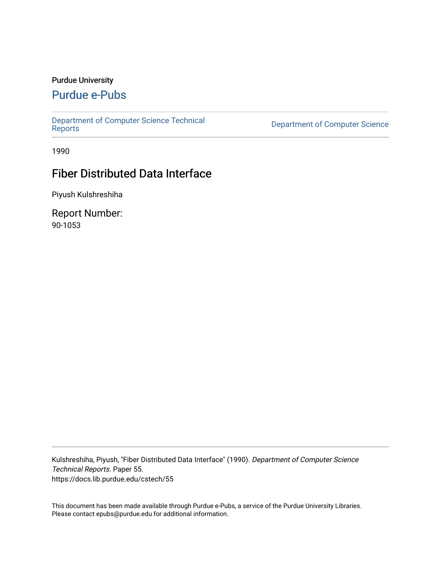#### Purdue University

# [Purdue e-Pubs](https://docs.lib.purdue.edu/)

[Department of Computer Science Technical](https://docs.lib.purdue.edu/cstech) 

Department of Computer Science

1990

# Fiber Distributed Data Interface

Piyush Kulshreshiha

Report Number: 90-1053

Kulshreshiha, Piyush, "Fiber Distributed Data Interface" (1990). Department of Computer Science Technical Reports. Paper 55. https://docs.lib.purdue.edu/cstech/55

This document has been made available through Purdue e-Pubs, a service of the Purdue University Libraries. Please contact epubs@purdue.edu for additional information.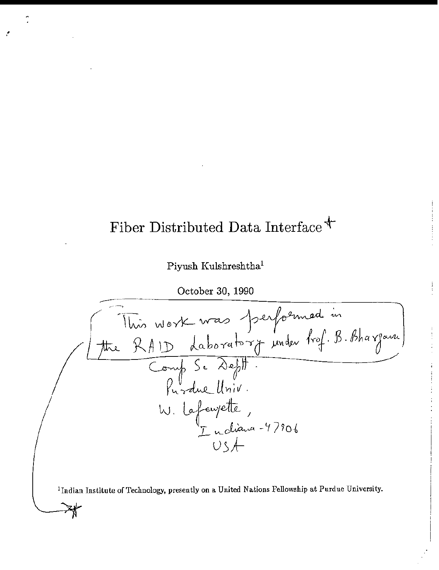# Fiber Distributed Data Interface  $\text{*}$

.'

### Piyush Kulshreshtha'

October 30, 1990



**IIndian Institute** of Technology, **presently on a United Nations Fellowship at Purdue University.**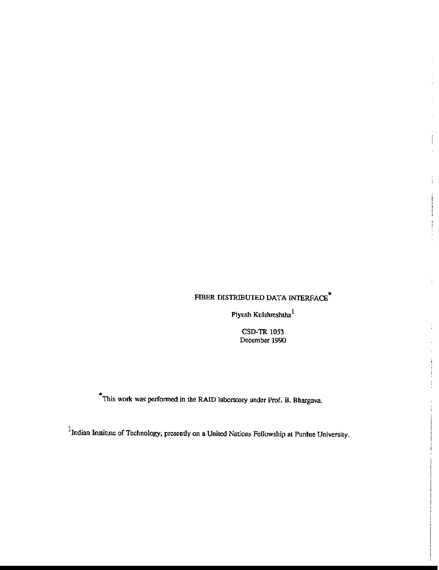#### FIBER DISTRIBUTED DATA INTERFACE  $^\ast$

ł l,

Ĵ.

Ţ.

ţ

Piyush Kulshreshtha $^1$ 

CSD-TR 1053 December 1990

• This work was perfonned in the RAID laboratory under Prof. B. Bhargava.

 $1$ Indian Institute of Technology, presently on a United Nations Fellowship at Purdue University.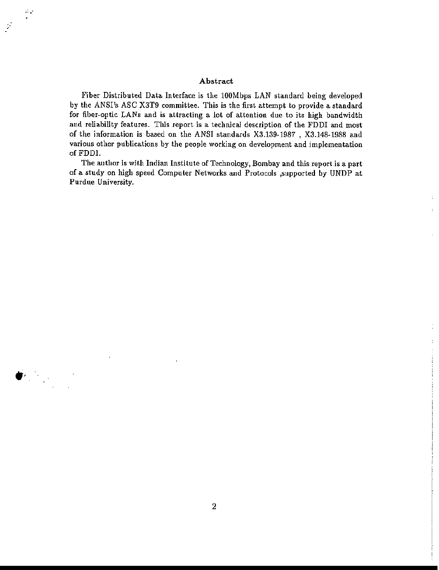#### Abstract

.: ..

 $\frac{1}{2}$ 

Fiber Distributed Data Interface is the 100Mbps LAN standard being developed by the ANSI's ASC X3T9 committee. This is the first attempt to provide a standard for fiber-optic LANs and is attracting a lot of attention due to its high bandwidth and reliability features. This report is a technical description of the FDDI and most of the information is based on the ANSI standards X3.139-1987 , X3.148-1988 and various other publications by the people working on development and implementation ofFDDI.

The author is with Indian Institute of Technology, Bombay and this report is a part of a study on high speed Computer Networks and Protocols ,supported by UNDP at Purdue University.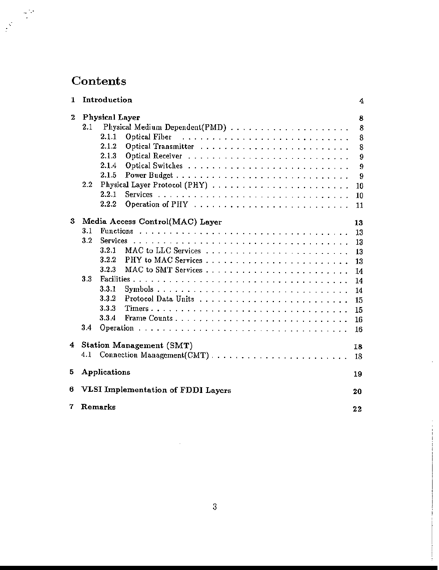# Contents

| 1. | Introduction                             | 4  |  |  |
|----|------------------------------------------|----|--|--|
| 2  | <b>Physical Layer</b>                    |    |  |  |
|    | 2.1                                      | 8  |  |  |
|    | 2.1.1<br>Optical Fiber                   | 8  |  |  |
|    | 2.1.2                                    | 8  |  |  |
|    | 2.1.3<br>Optical Receiver                | 9  |  |  |
|    | 2.1.4                                    | 9  |  |  |
|    | 2.1.5                                    | 9  |  |  |
|    | 2.2                                      | 10 |  |  |
|    | 2.2.1                                    | 10 |  |  |
|    | 2.2.2                                    | 11 |  |  |
|    |                                          |    |  |  |
| 3  | Media Access Control(MAC) Layer          |    |  |  |
|    | 3.1<br><b>Functions</b>                  | 13 |  |  |
|    | 3.2<br>Services                          | 13 |  |  |
|    | 3.2.1                                    | 13 |  |  |
|    | 3.2.2                                    | 13 |  |  |
|    | 3.2.3                                    | 14 |  |  |
|    | $3.3\,$                                  | 14 |  |  |
|    | 3.3.1                                    | 14 |  |  |
|    | 3.3.2                                    | 15 |  |  |
|    | 3.3.3                                    | 15 |  |  |
|    | 3.3.4                                    | 16 |  |  |
|    | 3.4                                      | 16 |  |  |
|    |                                          |    |  |  |
| 4  | <b>Station Management (SMT)</b><br>18    |    |  |  |
|    | 4.1                                      | 18 |  |  |
| 5  | Applications<br>19                       |    |  |  |
|    |                                          |    |  |  |
| 6  | VLSI Implementation of FDDI Layers<br>20 |    |  |  |
| 7  | Remarks<br>22                            |    |  |  |

 $\bar{z}$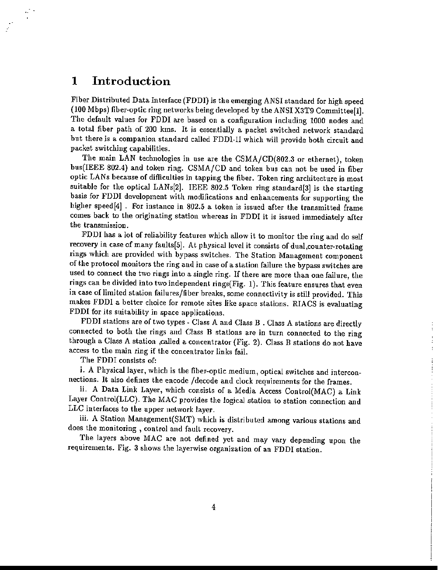# 1 Introduction

Fiber Djstributed Data Interface (FDDI) *is* the emerging ANSI standard for high speed (100 Mbps) fiber-optic ring networks being developed by the ANSI X3T9 Committee[i]. The default values for FDDI are based on a configuration including 1000 nodes and a total fiber path of 200 kms. It is essentially a packet switched network standard but there is a companion standard called FDDI-Il which will provide both circuit and packet switching capabilities.

The main LAN technologies in use are the CSMA/CD(802.3 or ethernet), token bus(IEEE 802.4) and token ring. CSMA/CD and token bus can not be used in fiber optic LANs because of difficulties in tapping the fiber. Token ring architecture is most suitable for the optical LANs[2]. IEEE 802.5 Token ring standard[3] is the starting basis for FDDI development with modifications and enhancements for supporting the higher speed[4] . For instance in 802.5 a token is issued after the transmitted frame comes back to the originating station whereas in FDDI it is issued immediately after the transmission.

FDDI has a lot of reliability features which allow it to monitor the ring and do self recovery in case of many faults[5]. At physical level it consists of dual, counter-rotating rings which are provided with bypass switches. The Station Management component of the protocol monitors the ring and in case of a station failure the bypass switches are used to connect the two rings into a single ring. If there are more than one failure, the rings can be divided into two independent rings(Fig. 1). This feature ensures that even in case of limited station failures/fiber breaks, some connectivity is still provided. This makes FDDI a better choice for remote sites like space stations. RIACS is evaluating FDDI for *its* suitability in space applications.

FDDI stations are of two types - Class A and Class B . Class A stations are directly connected to both the rings and Class B stations are in turn connected to the ring through a Class A station ,called a concentrator (Fig. 2). Class B stations do not have access to the main ring if the concentrator links fail.

 $\frac{1}{2}$  $\pm$ j. ŧ

The FDDI consists of:

i. A Physical layer, which is the fiber-optic medium, optical switches and interconnections. It also defines the encode /decode and clock requirements for the frames.

ii. A Data Link Layer, which consists of a Media Access Control(MAC) a Link Layer Control(LLC). The MAC provides the logical station to station connection and LLC interfaces to the upper network layer\_

iii. A Station Management(SMT) which is distributed among various stations and does the monitoring, control and fault recovery.

The layers above MAC are not defined yet and may vary depending upon the requirements. Fig. 3 shows the layerwise organization of an FDDI station.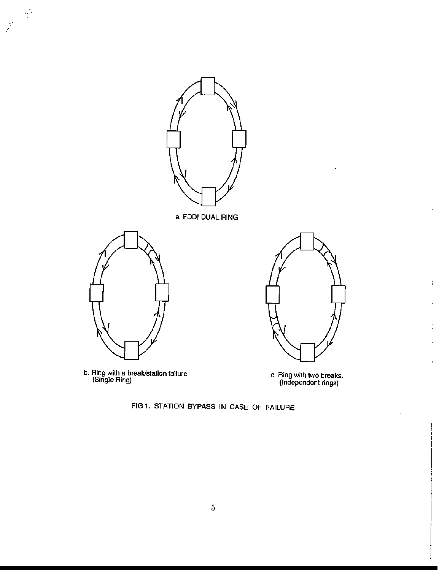

**b. Ring with a break/station failure (Single Ring) c. Ring with two breaks.**

**(Independent rings)**

 $\bar{z}$ 

J.

 $\frac{1}{4}$ 

l,

 $\ddot{\cdot}$ 

FIG 1. STATION BYPASS IN CASE OF FAILURE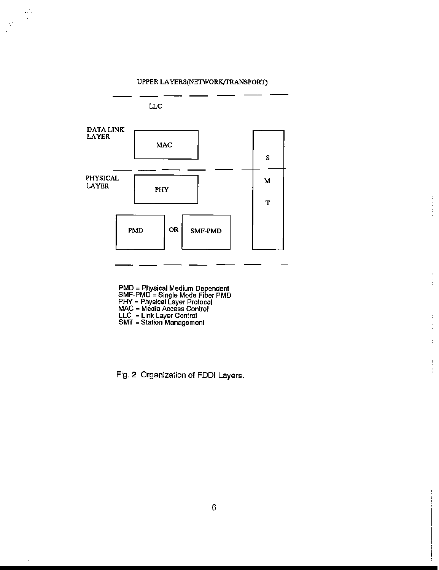÷,



医生物质

 $\bar{z}$ 

l, Ť

 $\ddot{\phantom{a}}$ ÷,

 $\ddot{\phantom{a}}$ l,

 $\frac{1}{4}$ 

**PMD = Physical Medium Dependent SMF-PMD = Single Mode Fiber PMD PHY = Physical Layer Protocol MAC = Media Access Conlrol LLC = Link Layer Control SMT = Station Managemenl**

**Fig. 2 Organization of FOOl Layers.**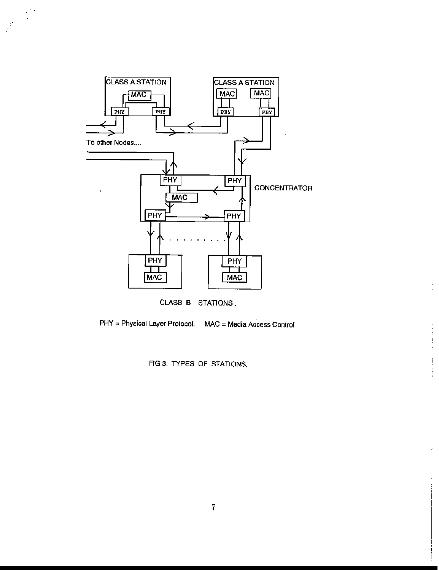

CLASS B STATIONS.

**PHY == Physical Layer Prolocol. MAC = Media Access Conlrol**

 $\bar{z}$ 

 $\bar{z}$ 

医生生素

 $\frac{1}{2}$ ł Î

FIG 3. TYPES OF STATIONS.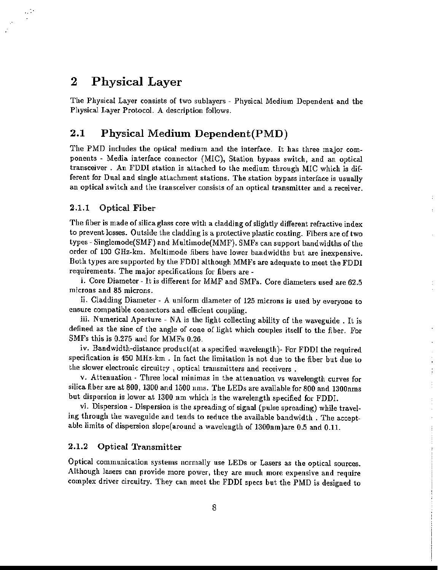## 2 Physical Layer

 $\sim 10$ 

The Physical Layer consists of two sublayers - Physical Medium Dependent and the Physical Layer Protocol. A description follows.

#### 2.1 Physical Medium Dependent(PMD)

The PMD includes the optical medium and the interface. It has three major components - Media interface connector (MIC), Station bypass switch, and an optical transceiver. An FDDI station *is* attached to the medium through MIC which *is* different for Dual and single attachment stations. The station bypass interface is usually an optical switch and the transceiver consists of au optical transmltter and a receiver.

#### 2.1.1 Optical Fiber

The fiber is made of silica glass core with a cladding of slightly different refractive index to prevent losses. Outside the cladding 1s a protective plastic coating. Fibers are of two types - Singlemode(SMF) and Multimode(MMF). SMFs can support bandwidths of the order of 100 GHz-km. Multimode fibers have lower bandwidths but are inexpensive. Both types are supported by the FDDI although MMFs are adequate to meet the FDDI requirements. The major specifications for fibers are -

Ŷ.

Ì,

1. Core Diameter - It is different for MMF and SMFs. Core diameters used are 62.5 microns and 85 microns.

ii. Cladding Diameter - A uniform diameter of 125 microns is used by everyone to ensure compatible connectors and efficient coupling.

iii. Numerical Aperture - NA is the light collecting ability of the waveguide. It is defined as the sine of the angle of cone of light which couples itself to the fiber. For SMFs this js 0.275 and for MMFs 0.26.

iv. Bandwidth-distance product(at a specified wavelength)- For FDDI the required specification is 450 MHz-km . In fact the limitation *is* not due to the fiber but due to the slower electronic circuitry, optical transmitters and receivers.

v. Attenuation - Three local minimas in the attenuation vs wavelength curves for silica fiber are at 800, 1300 and 1500 nms. The LEDs are available for 800 and 1300nms but dispersion is lower at 1300 nm which is the wavelength specified for FDDL

vi. Dispersion - Dispersion is the spreading of signal (pulse spreading) while traveling through the waveguide and tends to reduce the available bandwidth. The acceptable limits of dispersion slope(around a wavelength of 1300nm)are 0.5 and 0.11.

#### 2.1.2 Optical Transmitter

Optical communication systems normally use LEDs or Lasers as the optical sources. Although lasers can provide more power, they are much more expensive and require complex driver circuitry. They can meet the FDDI specs but the PMD is designed to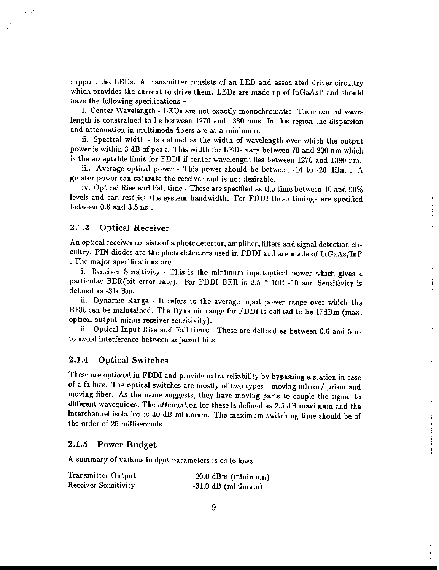support the LEDs. A transmitter consists of an LED and associated driver circuitry which provides the current to drive them. LEDs are made up of InGaAsP and should have the following specifications -

i. Center Wavelength - LEDs are not exactly monochromatic. Their central wavelength is constrained to lie between 1270 and 1380 nms. In this region the dispersion and attenuation in multimode fibers are at a minimum.

ii. Spectral width - Is defined as the width of wavelength over which the output power is within 3 dB of peak. This width for LEDs vary between 70 and 200 nm which is the acceptable limit for FDDI if center wavelength lies between 1270 and 1380 nm.

iii. Average optical power - This power should be between -14 to -20 dBm . A greater power can saturate the receiver and is not desirable.

iv. Optical Rise and Fall time - These are specified as the time between 10 and 90% levels and can restrict the system bandwidth. For FDDI these timings are specified between 0.6 and 3.5 ns .

 $\ddot{\cdot}$ ÷,

ŧ

÷

#### 2.1.3 Optical Receiver

 $\mathcal{L}^{(1)}$ 

An optical receiver consists of a photodetector, amplifier, filters and signal detection circuitry. PIN diodes are the photodetectors used in FDDI and are made of InGaAs/InP . The major specifications are-

i. Receiver Sensitivity - This is the minimum inputoptical power which gives a particular BER(bit error rate). For FDDI BER is 2.5 \* lOE -10 and Sensitivity is defined as ·31dBm.

ii. Dynamic Range - It refers to the average input power range over which the BER can be maintained, The Dynamic range for FDDI is defined to be 17dBm (max. optical output minus receiver sensitivity).

iii. Optical Input Rise and Fall times - These are defined as between 0.6 and 5 ns to avoid interference between adjacent bits.

#### 2.1.4 Optical Switches

These are optional in FDDI and provide extra reliability by bypassing a station in case of a failure. The optical switches are mostly of two types - moving mirror/ prism and moving fiber. As the name suggests, they have moving parts to couple the signal to different waveguides. The attenuation for these is defined as 2.5 dB maximum and the interchannel isolation is 40 dB minimum. The maximum switching time should be of the order of 25 milliseconds.

#### 2.1.5 Power Budget

A summary of various budget parameters is as follows:

| Transmitter Output   | $-20.0$ dBm (minimum) |
|----------------------|-----------------------|
| Receiver Sensitivity | $-31.0$ dB (minimum)  |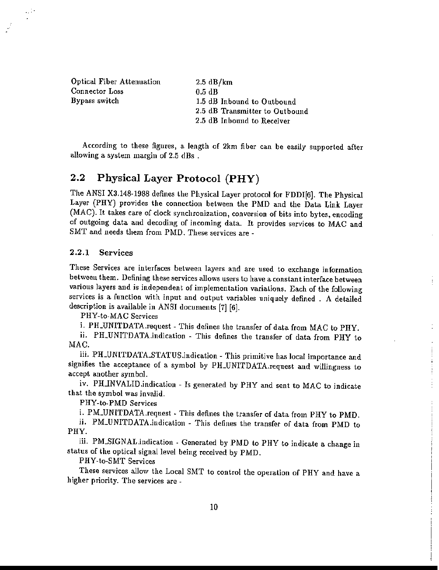Optical Fiber Attenuation Connector Loss Bypass switch

 $\mathcal{L}^{(1)}$  $\blacksquare$ 

> 2.5 dB/km 0.5 dB 1.5 dB Inbound to Outbound 2.5 dB Transmitter to Outbound 2.5 dB Inbound to Receiver

According to these figures, a length of 2km fiber can be easily supported after allowing a system margin of 2.5 dBs .

### 2.2 Physical Layer Protocol (PHY)

The ANSI X3.148-1988 defines the Physical Layer protocol for FDDI[6]. The Physical Layer (PHY) provides the connection between the PMD and the Data Link Layer (MAC). It takes care of clock synchronization, conversion of bits into bytes, encoding of outgoing data and decoding of incoming data. It provides services to MAC and SMT and needs them from PMD. These services are -

#### 2.2.1 Services

These Services are interfaces between layers and are used to exchange information between them. Defining these services allows users to have a constant interface between various layers and is independent of implementation variations. Each of the following services is a function with input and output variables uniquely defined. A detailed description is available in ANSI documents [7] [6].

PHY-to·MAC Services

i. PH\_UNITDATA.request - This defines the transfer of data from MAC to PHY.

ii. PH\_UNITDATA.indication - This defines the transfer of data from PHY to MAC.

iii. PH\_UNITDATA\_STATUS.indication - This primitive has local importance and signifies the acceptance of a symbol by PILUNITDATA.request and willingness to accept another symbol.

iv. PH\_INVALID.indication - Is generated by PHY and sent to MAC to indicate that the symbol was invalid.

PHY-to-PMD Services

i. PM\_UNITDATA.request . This defines the transfer of data from PHY to PMD.

ii. PM\_UNITDATA.indication - This defines the transfer of data from PMD to PHY.

iii. PM.SIGNAL.indication - Generated by PMD to PHY to indicate a change in status of the optical signal level being received by PMD.

PHY-to·SMT Services

These services allow the Local SMT to control the operation of PHY and have a higher priority. The services are -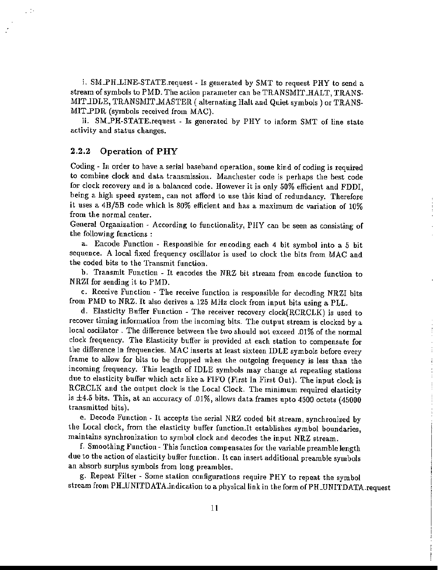i. SM\_PH\_LINE-STATE.request - Is generated by SMT to request PHY to send a stream of symbols to PMD. The action parameter can be TRANSMIT\_HALT, TRANS-MIT\_IDLE, TRANSMIT\_MASTER ( alternating Halt and Quiet symbols ) or TRANS-MIT\_PDR (symbols received from MAC).

ii. SM\_PH-STATE.request - Is generated by PHY to inform SMT of line state activity and status changes.

#### 2.2.2 Operation of PHY

 $\pm 14$ 

Codlng - In order to have a serial baseband operation, some kind of coding *is* required to combine clock and data transmission. Manchester code is perhaps the best code for clock recovery and is a balanced code. However it is only 50% efficient and FDDI, being a high speed system, can not afford to use this kind of redundancy. Therefore it uses a *4B/5B* code which is 80% efficient and has a maximum dc variation of 10% from the normal center.

General Organization - According to functionality, PHY can be seen as consisting of the following functions :

a. Encode Function - Responsible for encoding each 4 bit symbol into a 5 bit sequence. A local fixed frequency oscillator is used to clock the bits from MAC and the coded bits to the Transmit function.

b. Transmit Function - It encodes the NRZ bit stream from encode function to NRZI for sending it to PMD.

c. Receive Function - The receive function is responsible for decoding NRZI bits from PMD to NRZ. It also derives a 125 MHz clock from input bits using a PLL.

d. Elasticity Buffer Function - The receiver recovery clock(RCRCLK) is used to recover timing information from the incoming bits. The output stream is clocked by a local oscillator. The difference between the two should not exceed .01% of the normal clock frequency. The Elasticity buffer is provided at each station to compensate for the difference in frequencies. MAC inserts at least sixteen IDLE symbols before every frame to allow for bits to be dropped when the outgoing frequency is less than the incoming frequency. This length of IDLE symbols may change at repeating stations due to elasticity buffer which acts like a FIFO (First In First Out). The input clock is RCRCLK and the output clock is the Local Clock. The minimum required elasticity is  $\pm 4.5$  bits. This, at an accuracy of .01%, allows data frames upto 4500 octets (45000 transmitted bits).

j.

e. Decode Function· It accepts the serial NRZ coded bit stream, synchronized by the Local clock, from the elasticity buffer function.It establishes symbol boundaries, maintains synchronization to symbol clock and decodes the input NRZ stream.

f. Smoothing Function - This function compensates for the variable preamble length due to the action of elasticity buffer function. It can insert additional preamble symbols an absorb surplus symbols from long preambles.

g. Repeat Filter - Some station configurations require PHY to repeat the symbol stream from PH\_UNITDATA.lndication to a physical link in the form of PH\_UNITDATA.request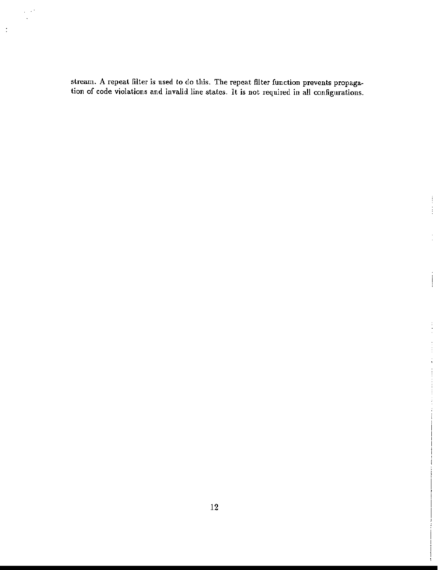stream. A repeat filter is used to do this. The repeat filter function prevents propagation of code violations and invalid line states. It is not required in all configurations.

 $\begin{array}{c} \frac{1}{2} \\ \frac{1}{2} \end{array}$ 

 $\frac{1}{2}$ 

 $\begin{array}{c} \begin{array}{c} \begin{array}{c} \end{array} \end{array} \end{array}$ 

 $\frac{1}{2}$ 

 $\omega \rightarrow 0$  $\bar{\mathcal{A}}$ 

 $\pm$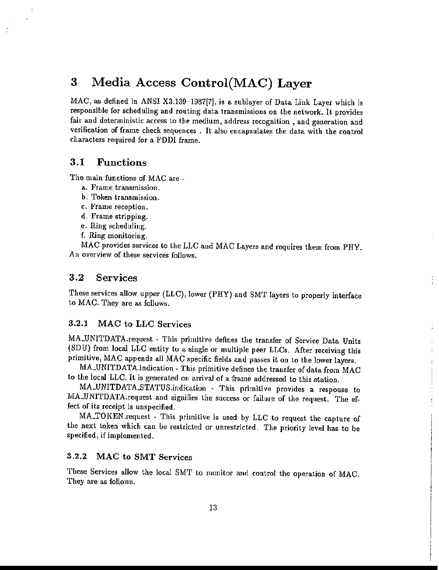# 3 Media Access Control(MAC) Layer

MAC, as defined in ANSI X3.139-1987[7], is a sublayer of Data Link Layer which is responsible for scheduling and routing data transmissions on the network. It provides fair and deterministic access to the medium, address recognition, and generation and verification of frame check sequences. It also encapsulates the data with the control characters required for a FDDI frame.

#### 3.1 Functions

 $\mathcal{G}$  $\ddot{\phantom{a}}$ 

The main functions of MAC are -

- a. Frame transmission.
- b. Token transmission.
- c. Frame reception.
- d. Frame stripping.
- e. Ring scheduling.
- f. Ring monitoring.

MAC provides services to the LLC and MAC Layers and requires them from PHY. An overview of these services follows.

#### 3.2 Services

These services allow upper (LLC), lower (PRY) and SMT layers to properly interface to MAC. They are as follows.

#### 3.2.1 MAC to LLC Services

MA\_UNITDATA.request - This primitive defines the transfer of Service Data Units (SDU) from local LLC entity to a single or multiple peer LLCs. After receiving this primitive, MAC appends all MAC specific fields and passes it on to the lower layers.

÷ ì.

MA\_UNITDATA.indication - This primitive defines the transfer of data from MAC to the local LLC. It is generated on arrival of a frame addressed to this station.

MA\_UNITDATA\_STATUS indication - This primitive provides a response to MA\_UNITDATA.request and signifies the success or failure of the request. The effect of its receipt is unspecified.

MA\_TOKEN .request - This primitive is used by LLC to request the capture of the next token which can be restricted or unrestricted. The priority level has to be specified, if implemented.

#### 3.2.2 MAC to SMT Services

These Services allow the local SMT to monitor and control the operation of MAC. They are as follows.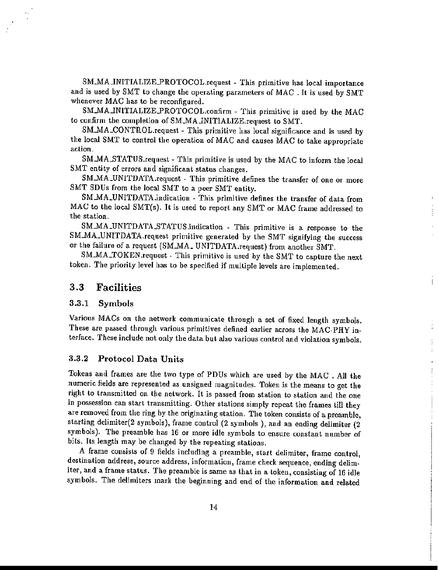SM\_MA\_INITIALIZE\_PROTOCOL.request - This primitive has local importance and is used by SMT to change the operating parameters of MAC. It is used by SMT whenever MAC has to be reconfigured.

SM\_MA\_INITIALIZE\_PROTOCOL.confirm - This primitive is used by the MAC to confirm the completion of SM\_MA\_INITIALIZE.request to SMT.

SM\_MA\_CONTROL.request - This primitive has local significance and is used by the local SMT to control the operation of MAC and causes MAC to take appropriate action.

SM\_MA\_STATUS.request - This primitive is used by the MAC to inform the local SMT entity of errors and significant status changes.

SM\_MA\_UNITDATA.request - This primitive defines the transfer of one or more SMT SDUs from the local SMT to a peer SMT entity.

SM\_MA\_UNITDATA.indication - This primitive defines the transfer of data from MAC to the local SMT(s). It is used to report any SMT or MAC frame addressed to the station.

SM\_MA\_UNITDATA\_STATUS.indication - This primitive is a response to the SM\_MA\_UNITDATA.request primitive generated by the SMT signifying the success or the failure of a request (SM\_MA\_ UNITDATA.request) from another SMT.

SM\_MA\_TOKEN.request - This primitive is used by the SMT to capture the next token. The priority level has to be specified if multiple levels are implemented.

Ť

 $\mathbf{r}$ 

#### 3.3 Facilities

#### 3.3.1 Symbols

Various MACs on the network communicate through a set of fixed length symbols. These are passed through various primitives defined earlier across the MAC-PHY interface. These include not only the data but also various control and violation symbols.

#### 3.3.2 Protocol Data Units

Tokens and frames are the two type of PDUs which are used by the MAC. All the numeric fields are represented as unsigned magnitudes. Token is the means to get the right to transmitted on the network. It is passed from station to station and the one in possession can start transmitting. Other stations simply repeat the frames till they are removed from the ring by the originating station. The token consists of a preamble, starting delimiter(2 symbols), frame control (2 symbols ), and an ending delimiter (2 symbols). The preamble has 16 or more idle symbols to ensure constant number of bits. Its length may be changed by the repeating stations.

A frame consists of 9 fields including a preamble, start delimiter, frame control, destination address, source address, information, frame check sequence, ending delimiter, and a frame status. The preamble is same as that in a token, consisting of 16 idle symbols. The delimiters mark the beginning and end of the information and related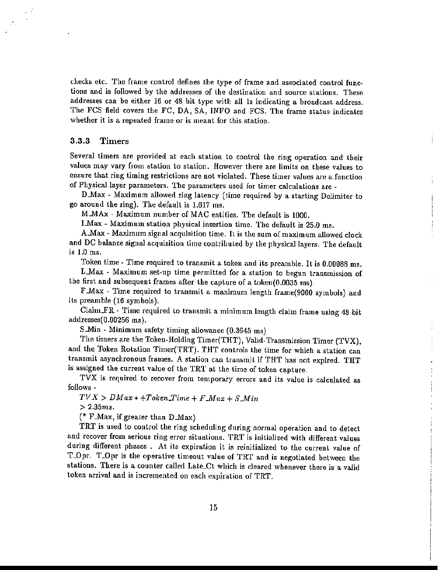checks etc. The frame control defines the type of frame and associated control functions and is followed by the addresses of the destination and source stations. These addresses can be either 16 or 48 bit type with all Is indicating a broadcast address. The FCS field covers the FC, DA, SA, INFO and FCS. The frame status indicates whether it is a repeated frame or is meant for this station.

#### 3.3.3 Timers

Several timers are provided at each station to control the ring operation and their values may vary from station to station. However there are limits on these values to ensure that ring timing restrictions are not violated. These timer values are a function of Physical layer parameters. The parameters used for timer calculations are -

D.Max - Maximum allowed ring latency (time required by a starting Delimiter to go around the ring). The default is  $1.617$  ms.

Ţ

÷

M.MAx - Maximum number of MAC entities. The default is 1000.

I.Max - Maximum station physical insertion time. The default is 25.0 ms.

A.Max - Maximum signal acquisition time. It is the sum of maximum allowed clock and DC balance signal acquisition time contributed by the physical layers. The default is 1.0 ms.

Token time - Time required to transmit a token and its preamble. It is 0.00088 ms.

L.Max - Maximum set-up time permitted for a station to begun transmission of the first and subsequent frames after the capture of a token( $0.0035$  ms).

F.Max - Time required to transmit a maximum length frame(9000 symbols) and its preamble (16 symbols).

Claim $\mathbb{R}\mathbb{R}$  - Time required to transmit a minimum length claim frame using 48 bit addresses(0.00256 ms).

S.Min - Minimum safety timing allowance (0.3645 ms)

The timers are the Token-Holding Timer(THT), Valid-Transmission Timer (TVX), and the Token Rotation Timer(TRT). THT controls the time for which a station can transmit asynchronous frames. A station can transmit if THT has not expired. THT is assigned the current value of the TRT at the time of token capture.

TVX is required to recover from temporary errors and its value is calculated as follows -

 $TVX > DMax * +Token\_Time + F_{*}Max + S_{*}Min$ 

> *2.35ms.*

(\* F.Max, if greater than  $D$ .Max)

TRT is used to control the ring scheduling during normal operation and to detect and recover from serious ring error situations. TRT is initialized with different values during different phases. At its expiration it is reinitialized to the current value of T\_Opr. T\_Opr is the operative timeout value of TRT and is negotiated between the stations. There is a counter called Late\_Ct which is cleared whenever there is a valid token arrival and is incremented on each expiration of TRT.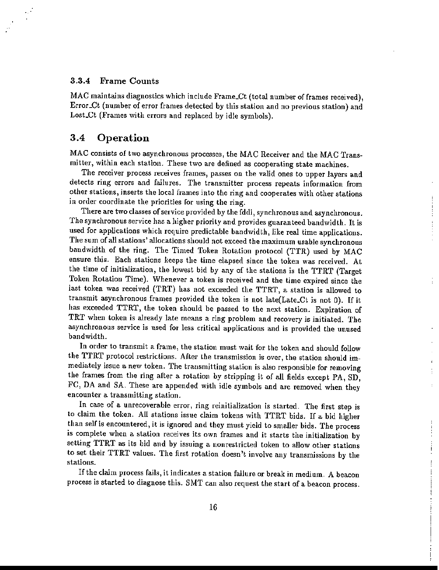#### 3.3.4 Frame Counts

MAC maintains diagnostics which include Frame\_Ct (total number of frames received), Error\_Ct (number of error frames detected by this station and no previous station) and Lost\_Ct (Frames with errors and replaced by idle symbols).

#### 3.4 Operation

MAC consists of two asynchronous processes, the MAC Receiver and the MAC Transmitter, within each station. These two are defined as cooperating state machines.

The receiver process receives frames, passes on the valid ones to upper layers and detects ring errors and failures. The transmitter process repeats information from other stations, inserts the local frames into the ring and cooperates with other stations in order coordinate the priorities for using the ring.

There are two classes of service provided by the fddi, synchronous and asynchronous. The synchronous service has a higher priority and provides guaranteed bandwidth. It is used for applications which require predictable bandwidth, like real time applications. The sum of all stations' allocations should not exceed the maximum usable synchronous bandwidth of the ring. The Timed Token Rotation protocol (TIR) used by MAC ensure this. Each stations keeps the time elapsed since the token was received. At the time of initialization, the lowest bid by any of the stations is the TTRT (Target Token Rotation Time). Whenever a token is received and the time expired since the last token was received (TRT) has not exceeded the TTRT, a station is allowed to transmit asynchronous frames provided the token is not late(Late\_Ct is not 0). If it has exceeded TTRT, the token should be passed to the next station. Expiration of TRT when token is already late means a ring problem and recovery *is* initiated. The asynchronous service is used for less critical applications and is provided the unused bandwidth.

In order to transmit a frame, the station must wait for the token and should follow the TTRT protocol restrictions. After the transmission is over, the station should immediately issue a new token. The transmitting station is also responsible for removing the frames from the ring after a rotation by stripping it of all fields except PA, SD, FC, DA and SA. These are appended with idle symbols and are removed when they encounter a transmitting station.

In case of a unrecoverable error, ring reinitialization is started. The first step is to claim the token. All stations issue claim tokens with TTRT bids. If a bid higher than sell is encountered, it is ignored and they must yield to smaller bids. The process is complete when a station receives its own frames and it starts the initialization by setting TTRT as its bid and by issuing a nonrestricted token to allow other stations to set their TTRT values. The first rotation doesn't involve any transmissions by the stations.

If the claim process fails, it indicates a station failure or break in medium. A beacon process *is* started to diagnose this. SMT can also request the start of a beacon process.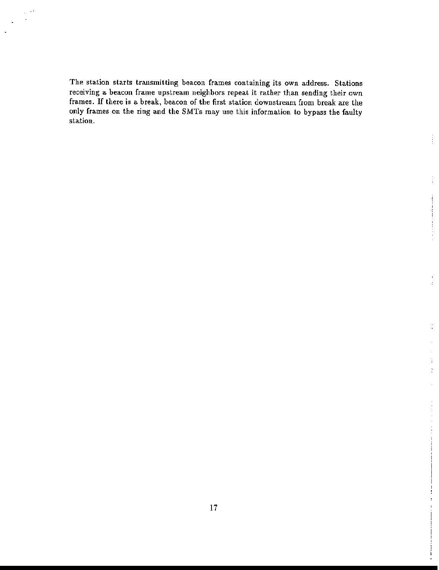The station starts transmitting beacon frames containing *its* own address. Stations receiving a beacon frame upstream neighbors repeat it rather than sending their own frames. If there is a break, beacon of the first station downstream from break are the only frames on the ring and the SMTs may use this information to bypass the faulty station.

ŧ

 $\pm$ 

÷,

 $\mathbf{i}$  $\ddot{\cdot}$ 

 $\cdot$ 

 $\ddotsc$ 

÷, ÷,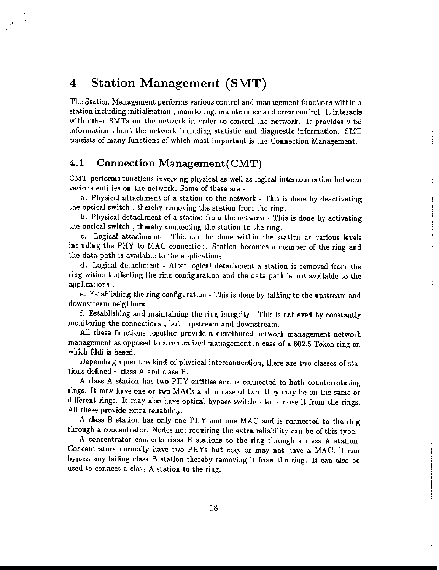# 4 Station Management (SMT)

The Station Management performs various control and management functions within a station including initialization, monitoring, maintenance and error control. It interacts with other SMTs on the network in order to control the network. It provides vital information about the network including statistic and diagnostic information. SMT consists of many functions of which most important is the Connection Management.

#### 4.1 Connection Management(CMT)

CMT performs functions involving physical as well as logical interconnection between various entities on the network. Some of these are-

a. Physical attachment of a station to the network - This is done by deactivating the optical switch, thereby removing the station from the ring.

b. Physical detachment of a station from the network - This is done by activating the optical switch, thereby connecting the station to the ring.

c. Logical attachment - This can be done within the station at various levels including the PHY to MAC connection. Station becomes a member of the ring and the data path is available to the applications.

d. Logical detachment - After logical detachment a station is removed from the ring without affecting the ring configuration and the data path is not available to the applications.

e. Establishing the ring configuration - This is done by talking to the upstream and downstream neighbors.

f. Establishing and maintaining the ring integrity - This is achieved by constantly monitoring the connections, both upstream and downstream.

All these functions together provide a distributed network management network management as opposed to a centralized management in case of a 802.5 Token ring on which fddi is based.

Depending upon the kind of physical interconnection, there are two classes of stations defined  $-$  class A and class B.

A class A station has two PHY entities and is connected to both counterrotating rings. It may have one or two MACs and in case of two, they may be on the same or different rings. It may also have optical bypass switches to remove it from the rings. All these provide extra reliability.

A class B station has only one PHY and one MAC and is connected to the ring through a concentrator. Nodes not requiring the extra reliability can be of this type.

A concentrator connects class B stations to the ring through a class A station. Concentrators normally have two PHYs but mayor may not have a MAC. It can bypass any failing class B station thereby removing it from the ring. It can also be used to connect a class A station to the ring.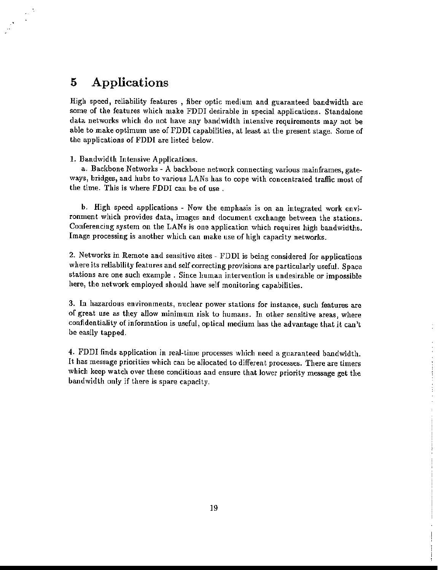# 5 Applications

High speed, reliability features, fiber optic medium and guaranteed bandwidth are some of the features which make FDDI desirable in special applications. Standalone data. networks which do not have any bandwidth intensive requirements may not be able to make optimum use of FDDI capabilities, at least at the present stage. Some of the applications of FDDI are listed below.

1. Bandwidth Intensive Applications.

a. Backbone Networks - A backbone network connecting various mainframes, gateways, bridges, and hubs to various LANs has to cope with concentrated traffic most of the time. This is where FDDI can be of use.

b. High speed applications - Now the emphasis is on an integrated work environment which provides data, images and document exchange between the stations. Conferencing system on the LANs is one application which requires high bandwidths. Image processing is another which can make use of high capacity networks.

2. Networks in Remote aud sensitive sites - FDDI is being considered for applications where its reliability features and self correcting provisions are particularly useful. Space stations are one such example. Since human intervention is undesirable or impossible here, the network employed should have self monitoring capabilities.

3. In hazardous environments, nuclear power stations for instance, such features are of great use as they allow minimum risk to humans. In other sensitive areas, where confidentiality of information is useful, optical medium has the advantage that it can't be easily tapped.

4. FDDI finds application in reaJ-time processes which need a guaranteed bandwidth. It has message priorities which can be allocated to different processes. There are timers which keep watch over these conditions and ensure that lower priority message get the bandwidth only if there is spare capacity.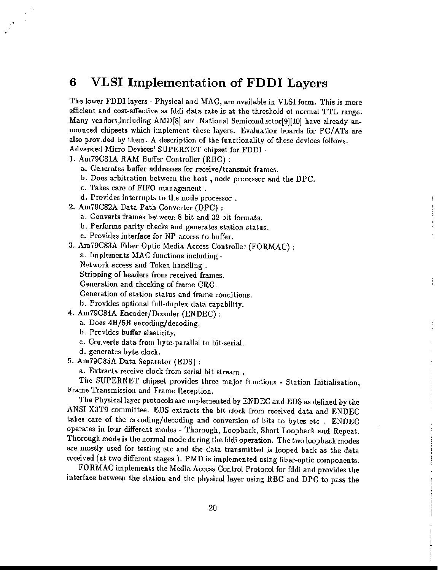# 6 VLSI Implementation of FDDI Layers

The lower FDDI layers - Physical and MAC, are available in VLSI form. This is more efficient and cost-affective as fddi data rate is at the threshold of normal TTL range. Many vendors, including  $\text{AMD}[8]$  and National Semiconductor[9][10] have already announced chipsets which implement these layers. Evaluation boards for *PCI*ATs are also provided by them. A description of the functionality of these devices follows. Advanced Micro Devices' SUPERNET chipset for FDDI -

I. Am79C81A RAM Buffer Controller (RBC) ,

·

- a. Generates buffer addresses for receive/transmit frames.
- b. Does arbitration between the host, node processor and the DPC.
- c. Takes care of FIFO management.
- d. Provides in terrupts to the node processor.
- 2. Am79C82A Data Path Converter (OPC) :
	- a. Converts frames between 8 bit and 32-bit formats.
	- b. Performs parity checks and generates station status.
	- c. Provides interface for NP access to buffer.
- 3. Am79C83A Fiber Optic Media Access Controller (FORMAC) : a. Implements MAC functions including-Network access and Token handling. Stripping of headers from received frames\_ Generation and checking of frame CRC. Generation of station status and frame conditions. b. Provides optional full-duplex data capability.
- 4. Am79C84A Encoder/Decoder (ENOEC) :
	- a. Does 4B/5B encoding/decoding.
	- b. Provides buffer elasticity.
	- c. Converts data from byte-parallel to bit-serial.
	- d. generates byte clock.
- 5. Am79C85A Data Separator (EDS) :
	- a. Extracts receive clock from serial bit stream.

The SUPERNET chipset provides three major functions· Station Initialization, Frame Transmission and Frame Reception.

÷

The Physical layer protocols are implemented by ENDEC and EDS as defined by the ANSI X3T9 committee. EDS extracts the bit dock from received data and ENDEC takes care of the encoding/decoding and conversion of bits to bytes etc. ENDEC operates in four different modes - Thorough, Loopback, Short Loopback and Repeat. Thorough mode is the normal mode during the fddi operation. The two loopback modes are mostly used for testing etc and the data transmitted is looped back as the data received (at two different stages ). PMD is implemented using fiber-optic components.

FORMAC implements the Media Access Control Protocol for fddi and provides the interface between the station and the physical layer using RBC and OPC to pass the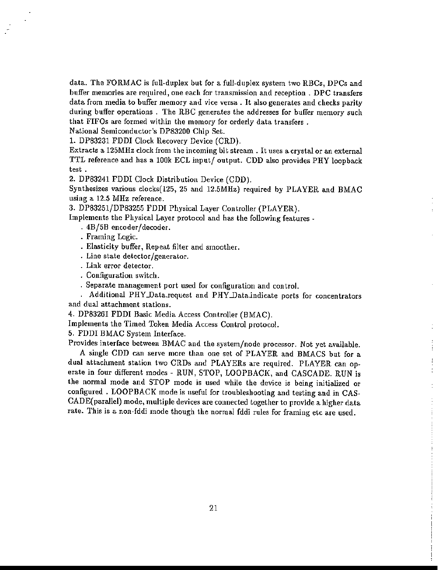data. The FORMAC is full-duplex but for a full-duplex system two RBCs, DPCs and buffer memories are required, one each for transmission and reception. DPC transfers data from media to buffer memory and vice versa. It also generates and checks parity during buffer operations. The RBC generates the addresses for buffer memory such that FIFOs are formed within the memory for orderly data transfers.

National Semiconductor's DP83200 Chip Set.

1. DP83231 FDDI Clock Recovery Device (CRD).

Extracts a 125MHz clock from the incoming bit stream. It uses a crystal or an external TTL reference and has a lOOk ECL input/ output. CDD also provides PRY loopback test.

2. DP83241 FDDI Clock Distribution Device (COD).

Synthesizes various clocks(l25, 25 and 12.5MHz) required by PLAYER and BMAC using a 12.5 MHz reference.

3. DP83251/DP83255 FDDI Physical Layer Controller (PLAYER).

Implements the Physical Layer protocol and has the following features -

- · 4B/5B encoder/decoder.
- · Framing Logic.
- · Elasticity buffer, Repeat filter and smoother.
- · Line state detector/generator.
- · Link error detector.
- · Configuration switch.
- · Separate management port used for configuration and control.

. Additional PHY\_Data.request and PHY\_Data.indicate ports for concentrators and dual attachment stations.

4. DP83261 FDDI Basic Media Access Controller (BMAC).

Implements the Timed Token Media Access Control protocol.

5. FDDI BMAC System Interface.

Provides interface between BMAC and the system/node processor. Not yet available. A single CDD can serve more than one set of PLAYER and BMACS but for a dual attachment station two CRDs and PLAYERs are required. PLAYER can operate in four different modes - RUN, STOP, LOOPBACK, and CASCADE. RUN is the normal mode and STOP mode is used while the device is being initialized or configured. LOOPBACK mode is useful for troubleshooting and testing and in CAS-CADE(parailel) mode, multiple devices are connected together to provide a higher data rate. This *is* a non-fddi mode though the normal fddi rules for framing etc are used.

Ť  $\frac{1}{2}$ ÷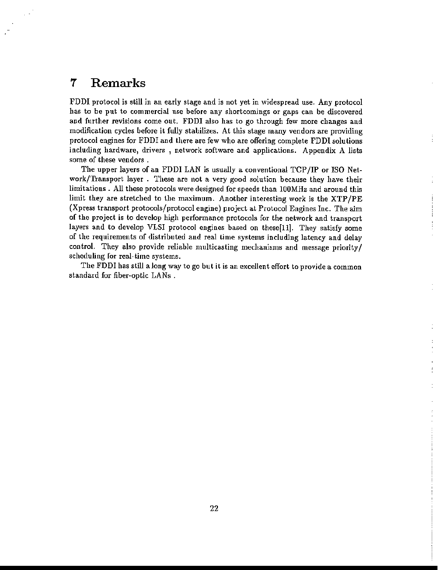# 7 Remarks

FDDI protocol is still in an early stage and is not yet in widespread use. Any protocol has to be put to commercial use before any shortcomings or gaps can be discovered and further revisions come out. FDDI also has to go through few more changes and modification cycles before it fully stabilizes. At this stage many vendors are providing protocol engines for FDDI and there are few who are offerlng complete FDDI solutions including hardware, drivers, network software and applications. Appendix A lists some of these vendors.

The upper layers of an FDDI LAN is usually a conventional TCP/IP or ISO Network/Transport layer. These are not a very good solution because they have their limitations. All these protocols were designed for speeds than lOOMHz and around thls limit they are stretched to the maximum. Another interesting work is the XTP/PE (Xpress transport protocols/protocol engine) project at Protocol Engines Inc. The aim of the project is to develop high performance protocols for the network and transport layers and to develop VLSI protocol engines based on these[11]. They satisfy some of the requirements of distributed and real time systems including latency and delay control. They also provide reliable multicasting mechanisms and message priority/ scheduling for real-time systems.

The FDDI has still along way to go but it is an excellent effort to provide a common standard for fiber-optic LANs .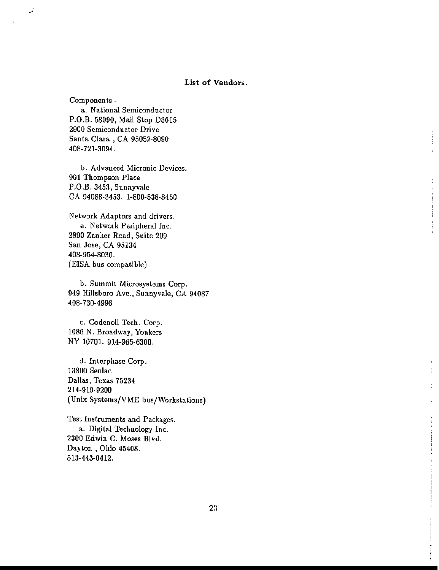#### **List of Vendors.**

**Components -**

تنور

**a. National Semiconductor** P.O.B. 58090, Mail Stop D3615 **2900 Semiconductor Drive** Santa Clara, CA 95052-8090 408-721-3094.

**b. Advanced Micronic Devices. 901 Thompson Place P.O.B. 3453, Sunnyvale** CA 94088-3453. 1-800-538-8450

**Network Adaptors and drivers. a. Network Peripheral Inc. 2890 Zanker Road, Suite 209 San Jose, CA 95134** 408-954-8030. **(EISA bus compatible)**

**b. Summit Microsystems Corp. 949 Hillsboro Ave., Sunnyvale, CA 94087** 408-730-4996

**c. Codenoll Tech. Corp. 1086 N. Broadway, Yonkers** NY 10701. 914-965-6300.

**d. Interphase Corp. 13800 Senlac Dallas, Texas 75234** 214-919-9200 **(Unix Systems/VME bus/Workstations)**

**Test Instruments and Packages. a. Digital Technology Inc. 2300 Edwin C. Moses Blvd. Dayton, Ohio 45408.** 513-443-0412.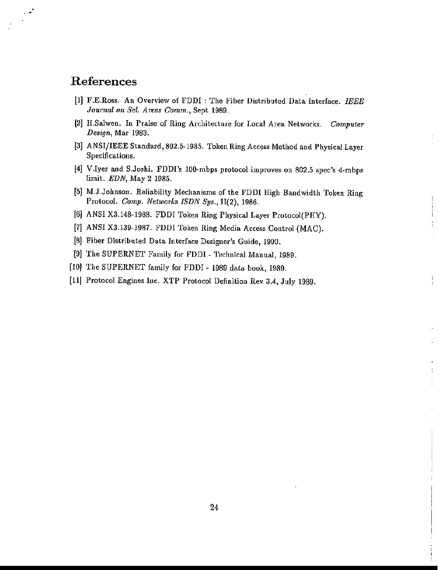# References

 $\mathcal{L}$ .

- **[1] F.E.Iloss. An Overview of FDDI : The Fiber Distributed Data Interface.** *IEEE Journa.l on Sel. Areas Comm.,* **Sept 1989.**
- **(2] H.Salwen. In Praise of Ring Architecture for Local Area Networks.** *Computer Design,* **Mar 1983.**
- **[3] ANSI/IEEE Standard, 802.5-1985. Token Ring Access Method and Physical Layer Specifications.**
- **[4] V.Iyee and S.Joshi. FDDI's lOO-mbps protocol improves on 802.5 spec's 4-mbps limit. EDN, May 2 1985.**
- **[5] M.J .Johnson. Reliability Mechanisms of the FDDI High Bandwidth Token Ring** Protocol. *Comp. Networks ISDN Sys.*,  $II(2)$ , 1986.

ŧ

÷

- [6] ANSI X3.148-1988. FDDI Token Ring Physical Layer Protocol(PHY).
- [7] ANSI X3.139-1987. FDDI Token Ring Media Access Control (MAC).
- **[8J Fiber Distributed Data Interface Designer's Guide, 1990.**
- **[9] The SUPERNET Family for FDDI - Technical Manual, 1989.**
- [10) The SUPERNET family for FDDI 19S9 data book, 1989.
- **[11] Protocol Engines Inc. XTP Protocol Definition Rev 3.4, July 1989.**